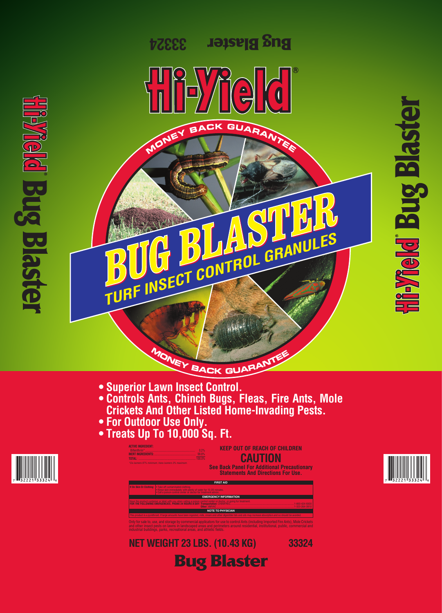**Bug Blaster NET WEIGHT 23 LBS. (10.43 KG) 33324**





**Meld** Bug Blaste

# e de la composición de la composición de la composición de la composición de la composición de la composición  $\mathbb{R}^n$

# MONEY BACK GUARANTEE

- **Superior Lawn Insect Control.**
- **Controls Ants, Chinch Bugs, Fleas, Fire Ants, Mole Crickets And Other Listed Home-Invading Pests.**
- **For Outdoor Use Only.**
- **Treats Up To 10,000 Sq. Ft.**

**ACTIVE INGREDIENT:** Bifenthrin<sup>\*</sup> **INERT INGREDIENTS: TOTAL:** ................................................................................. 100.0% \*Cis isomers 97% minimum, trans isomers 3% maximum.

**KEEP OUT OF REACH OF CHILDREN CAUTION**

**See Back Panel For Additional Precautionary Statements And Directions For Use.**



Only for sale to, use, and storage by commercial applicators for use to control Ants (including Imported Fire Ants), Mole Crickets and other insect pests on lawns in landscaped areas and perimeters around residential, institutional, public, commercial and industrial buildings, parks, recreational areas, and athletic fields.

|                                                                                                                                                                                                       | <b>FIRST AID</b>                                                                                                                                                                                       |  |  |  |  |  |
|-------------------------------------------------------------------------------------------------------------------------------------------------------------------------------------------------------|--------------------------------------------------------------------------------------------------------------------------------------------------------------------------------------------------------|--|--|--|--|--|
|                                                                                                                                                                                                       | <b>If On Skin Or Clothing:</b> • Take off contaminated clothing.<br>• Rinse skin immediately with plenty of water for 15-20 minutes.<br>• Call a poison control center or doctor for treatment advice. |  |  |  |  |  |
|                                                                                                                                                                                                       | <b>EMERGENCY INFORMATION</b>                                                                                                                                                                           |  |  |  |  |  |
| Have the product container or label with you when calling a poison control center or doctor, or going for treatment.<br>FOR THE FOLLOWING EMERGENCIES, PHONE 24 HOURS A DAY: Transportation: CHEMTREC |                                                                                                                                                                                                        |  |  |  |  |  |
| <b>NOTE TO PHYSICIAN</b>                                                                                                                                                                              |                                                                                                                                                                                                        |  |  |  |  |  |
| This product is a pyrethroid. If large amounts have been ingested, milk, cream and other digestible fats and oils may increase absorption and so should be avoided.                                   |                                                                                                                                                                                                        |  |  |  |  |  |